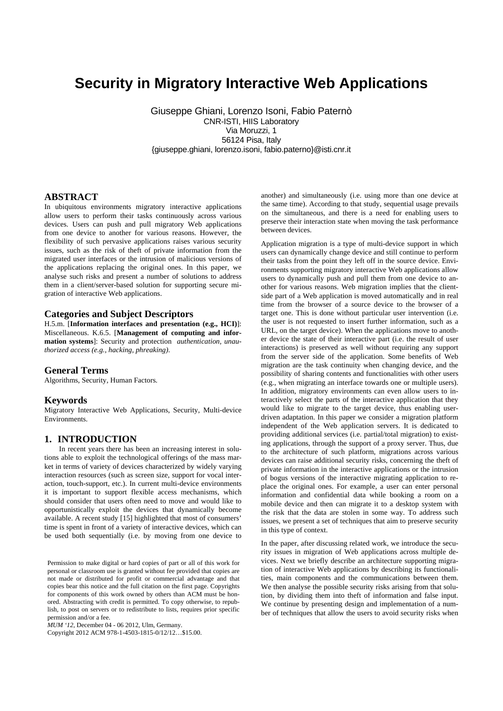# **Security in Migratory Interactive Web Applications**

Giuseppe Ghiani, Lorenzo Isoni, Fabio Paternò CNR-ISTI, HIIS Laboratory Via Moruzzi, 1 56124 Pisa, Italy {giuseppe.ghiani, lorenzo.isoni, fabio.paterno}@isti.cnr.it

## **ABSTRACT**

In ubiquitous environments migratory interactive applications allow users to perform their tasks continuously across various devices. Users can push and pull migratory Web applications from one device to another for various reasons. However, the flexibility of such pervasive applications raises various security issues, such as the risk of theft of private information from the migrated user interfaces or the intrusion of malicious versions of the applications replacing the original ones. In this paper, we analyse such risks and present a number of solutions to address them in a client/server-based solution for supporting secure migration of interactive Web applications.

# **Categories and Subject Descriptors**

H.5.m. [**Information interfaces and presentation (e.g., HCI)**]: Miscellaneous. K.6.5. [**Management of computing and information systems**]: Security and protection *authentication, unauthorized access (e.g., hacking, phreaking)*.

#### **General Terms**

Algorithms, Security, Human Factors.

### **Keywords**

Migratory Interactive Web Applications, Security, Multi-device Environments.

# **1. INTRODUCTION**

In recent years there has been an increasing interest in solutions able to exploit the technological offerings of the mass market in terms of variety of devices characterized by widely varying interaction resources (such as screen size, support for vocal interaction, touch-support, etc.). In current multi-device environments it is important to support flexible access mechanisms, which should consider that users often need to move and would like to opportunistically exploit the devices that dynamically become available. A recent study [15] highlighted that most of consumers' time is spent in front of a variety of interactive devices, which can be used both sequentially (i.e. by moving from one device to

Permission to make digital or hard copies of part or all of this work for personal or classroom use is granted without fee provided that copies are not made or distributed for profit or commercial advantage and that copies bear this notice and the full citation on the first page. Copyrights for components of this work owned by others than ACM must be honored. Abstracting with credit is permitted. To copy otherwise, to republish, to post on servers or to redistribute to lists, requires prior specific permission and/or a fee.

*MUM '12*, December 04 - 06 2012, Ulm, Germany.

Copyright 2012 ACM 978-1-4503-1815-0/12/12…\$15.00.

another) and simultaneously (i.e. using more than one device at the same time). According to that study, sequential usage prevails on the simultaneous, and there is a need for enabling users to preserve their interaction state when moving the task performance between devices.

Application migration is a type of multi-device support in which users can dynamically change device and still continue to perform their tasks from the point they left off in the source device. Environments supporting migratory interactive Web applications allow users to dynamically push and pull them from one device to another for various reasons. Web migration implies that the clientside part of a Web application is moved automatically and in real time from the browser of a source device to the browser of a target one. This is done without particular user intervention (i.e. the user is not requested to insert further information, such as a URL, on the target device). When the applications move to another device the state of their interactive part (i.e. the result of user interactions) is preserved as well without requiring any support from the server side of the application. Some benefits of Web migration are the task continuity when changing device, and the possibility of sharing contents and functionalities with other users (e.g., when migrating an interface towards one or multiple users). In addition, migratory environments can even allow users to interactively select the parts of the interactive application that they would like to migrate to the target device, thus enabling userdriven adaptation. In this paper we consider a migration platform independent of the Web application servers. It is dedicated to providing additional services (i.e. partial/total migration) to existing applications, through the support of a proxy server. Thus, due to the architecture of such platform, migrations across various devices can raise additional security risks, concerning the theft of private information in the interactive applications or the intrusion of bogus versions of the interactive migrating application to replace the original ones. For example, a user can enter personal information and confidential data while booking a room on a mobile device and then can migrate it to a desktop system with the risk that the data are stolen in some way. To address such issues, we present a set of techniques that aim to preserve security in this type of context.

In the paper, after discussing related work, we introduce the security issues in migration of Web applications across multiple devices. Next we briefly describe an architecture supporting migration of interactive Web applications by describing its functionalities, main components and the communications between them. We then analyse the possible security risks arising from that solution, by dividing them into theft of information and false input. We continue by presenting design and implementation of a number of techniques that allow the users to avoid security risks when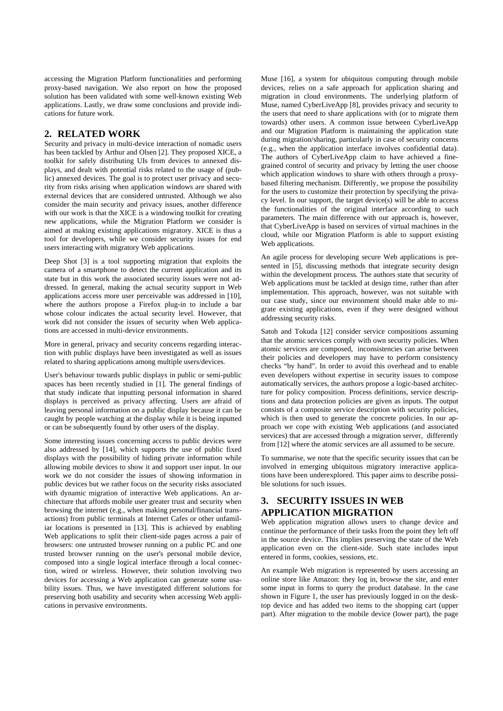accessing the Migration Platform functionalities and performing proxy-based navigation. We also report on how the proposed solution has been validated with some well-known existing Web applications. Lastly, we draw some conclusions and provide indications for future work.

# **2. RELATED WORK**

Security and privacy in multi-device interaction of nomadic users has been tackled by Arthur and Olsen [2]. They proposed XICE, a toolkit for safely distributing UIs from devices to annexed displays, and dealt with potential risks related to the usage of (public) annexed devices. The goal is to protect user privacy and security from risks arising when application windows are shared with external devices that are considered untrusted. Although we also consider the main security and privacy issues, another difference with our work is that the XICE is a windowing toolkit for creating new applications, while the Migration Platform we consider is aimed at making existing applications migratory. XICE is thus a tool for developers, while we consider security issues for end users interacting with migratory Web applications.

Deep Shot [3] is a tool supporting migration that exploits the camera of a smartphone to detect the current application and its state but in this work the associated security issues were not addressed. In general, making the actual security support in Web applications access more user perceivable was addressed in [10], where the authors propose a Firefox plug-in to include a bar whose colour indicates the actual security level. However, that work did not consider the issues of security when Web applications are accessed in multi-device environments.

More in general, privacy and security concerns regarding interaction with public displays have been investigated as well as issues related to sharing applications among multiple users/devices.

User's behaviour towards public displays in public or semi-public spaces has been recently studied in [1]. The general findings of that study indicate that inputting personal information in shared displays is perceived as privacy affecting. Users are afraid of leaving personal information on a public display because it can be caught by people watching at the display while it is being inputted or can be subsequently found by other users of the display.

Some interesting issues concerning access to public devices were also addressed by [14], which supports the use of public fixed displays with the possibility of hiding private information while allowing mobile devices to show it and support user input. In our work we do not consider the issues of showing information in public devices but we rather focus on the security risks associated with dynamic migration of interactive Web applications. An architecture that affords mobile user greater trust and security when browsing the internet (e.g., when making personal/financial transactions) from public terminals at Internet Cafes or other unfamiliar locations is presented in [13]. This is achieved by enabling Web applications to split their client-side pages across a pair of browsers: one untrusted browser running on a public PC and one trusted browser running on the user's personal mobile device, composed into a single logical interface through a local connection, wired or wireless. However, their solution involving two devices for accessing a Web application can generate some usability issues. Thus, we have investigated different solutions for preserving both usability and security when accessing Web applications in pervasive environments.

Muse [16], a system for ubiquitous computing through mobile devices, relies on a safe approach for application sharing and migration in cloud environments. The underlying platform of Muse, named CyberLiveApp [8], provides privacy and security to the users that need to share applications with (or to migrate them towards) other users. A common issue between CyberLiveApp and our Migration Platform is maintaining the application state during migration/sharing, particularly in case of security concerns (e.g., when the application interface involves confidential data). The authors of CyberLiveApp claim to have achieved a finegrained control of security and privacy by letting the user choose which application windows to share with others through a proxybased filtering mechanism. Differently, we propose the possibility for the users to customize their protection by specifying the privacy level. In our support, the target device(s) will be able to access the functionalities of the original interface according to such parameters. The main difference with our approach is, however, that CyberLiveApp is based on services of virtual machines in the cloud, while our Migration Platform is able to support existing Web applications.

An agile process for developing secure Web applications is presented in [5], discussing methods that integrate security design within the development process. The authors state that security of Web applications must be tackled at design time, rather than after implementation. This approach, however, was not suitable with our case study, since our environment should make able to migrate existing applications, even if they were designed without addressing security risks.

Satoh and Tokuda [12] consider service compositions assuming that the atomic services comply with own security policies. When atomic services are composed, inconsistencies can arise between their policies and developers may have to perform consistency checks "by hand". In order to avoid this overhead and to enable even developers without expertise in security issues to compose automatically services, the authors propose a logic-based architecture for policy composition. Process definitions, service descriptions and data protection policies are given as inputs. The output consists of a composite service description with security policies, which is then used to generate the concrete policies. In our approach we cope with existing Web applications (and associated services) that are accessed through a migration server, differently from [12] where the atomic services are all assumed to be secure.

To summarise, we note that the specific security issues that can be involved in emerging ubiquitous migratory interactive applications have been underexplored. This paper aims to describe possible solutions for such issues.

# **3. SECURITY ISSUES IN WEB APPLICATION MIGRATION**

Web application migration allows users to change device and continue the performance of their tasks from the point they left off in the source device. This implies preserving the state of the Web application even on the client-side. Such state includes input entered in forms, cookies, sessions, etc.

An example Web migration is represented by users accessing an online store like Amazon: they log in, browse the site, and enter some input in forms to query the product database. In the case shown in Figure 1, the user has previously logged in on the desktop device and has added two items to the shopping cart (upper part). After migration to the mobile device (lower part), the page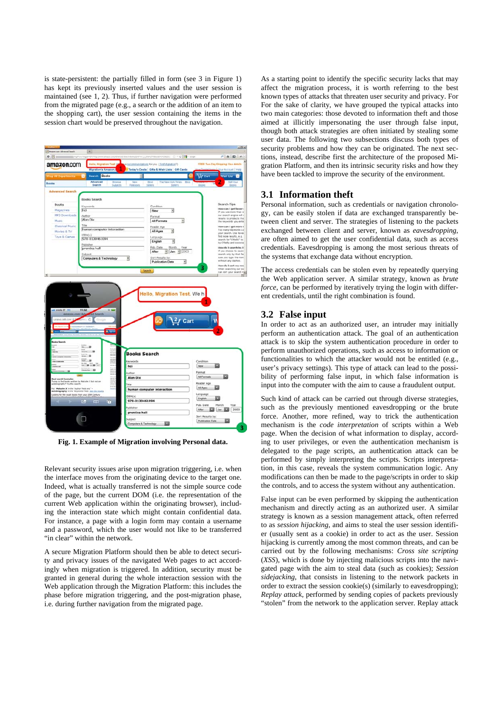is state-persistent: the partially filled in form (see 3 in Figure 1) has kept its previously inserted values and the user session is maintained (see 1, 2). Thus, if further navigation were performed from the migrated page (e.g., a search or the addition of an item to the shopping cart), the user session containing the items in the session chart would be preserved throughout the navigation.



**Fig. 1. Example of Migration involving Personal data.** 

Relevant security issues arise upon migration triggering, i.e. when the interface moves from the originating device to the target one. Indeed, what is actually transferred is not the simple source code of the page, but the current DOM (i.e. the representation of the current Web application within the originating browser), including the interaction state which might contain confidential data. For instance, a page with a login form may contain a username and a password, which the user would not like to be transferred "in clear" within the network.

A secure Migration Platform should then be able to detect security and privacy issues of the navigated Web pages to act accordingly when migration is triggered. In addition, security must be granted in general during the whole interaction session with the Web application through the Migration Platform: this includes the phase before migration triggering, and the post-migration phase, i.e. during further navigation from the migrated page.

As a starting point to identify the specific security lacks that may affect the migration process, it is worth referring to the best known types of attacks that threaten user security and privacy. For For the sake of clarity, we have grouped the typical attacks into two main categories: those devoted to information theft and those aimed at illicitly impersonating the user through false input, though both attack strategies are often initiated by stealing some user data. The following two subsections discuss both types of security problems and how they can be originated. The next sections, instead, describe first the architecture of the proposed Migration Platform, and then its intrinsic security risks and how they have been tackled to improve the security of the environment.

# **3.1 Information theft**

Personal information, such as credentials or navigation chronology, can be easily stolen if data are exchanged transparently between client and server. The strategies of listening to the packets exchanged between client and server, known as *eavesdropping*, are often aimed to get the user confidential data, such as access credentials. Eavesdropping is among the most serious threats of the systems that exchange data without encryption.

The access credentials can be stolen even by repeatedly querying the Web application server. A similar strategy, known as *brute force*, can be performed by iteratively trying the login with different credentials, until the right combination is found.

### **3.2 False input**

In order to act as an authorized user, an intruder may initially perform an authentication attack. The goal of an authentication attack is to skip the system authentication procedure in order to perform unauthorized operations, such as access to information or functionalities to which the attacker would not be entitled (e.g., user's privacy settings). This type of attack can lead to the possibility of performing false input, in which false information is input into the computer with the aim to cause a fraudulent output.

Such kind of attack can be carried out through diverse strategies, such as the previously mentioned eavesdropping or the brute force. Another, more refined, way to trick the authentication mechanism is the *code interpretation* of scripts within a Web page. When the decision of what information to display, according to user privileges, or even the authentication mechanism is delegated to the page scripts, an authentication attack can be performed by simply interpreting the scripts. Scripts interpretation, in this case, reveals the system communication logic. Any modifications can then be made to the page/scripts in order to skip the controls, and to access the system without any authentication.

False input can be even performed by skipping the authentication mechanism and directly acting as an authorized user. A similar strategy is known as a session management attack, often referred to as *session hijacking*, and aims to steal the user session identifier (usually sent as a cookie) in order to act as the user. Session hijacking is currently among the most common threats, and can be carried out by the following mechanisms: *Cross site scripting* (*XSS*), which is done by injecting malicious scripts into the navigated page with the aim to steal data (such as cookies); *Session sidejacking*, that consists in listening to the network packets in order to extract the session cookie(s) (similarly to eavesdropping); *Replay attack*, performed by sending copies of packets previously "stolen" from the network to the application server. Replay attack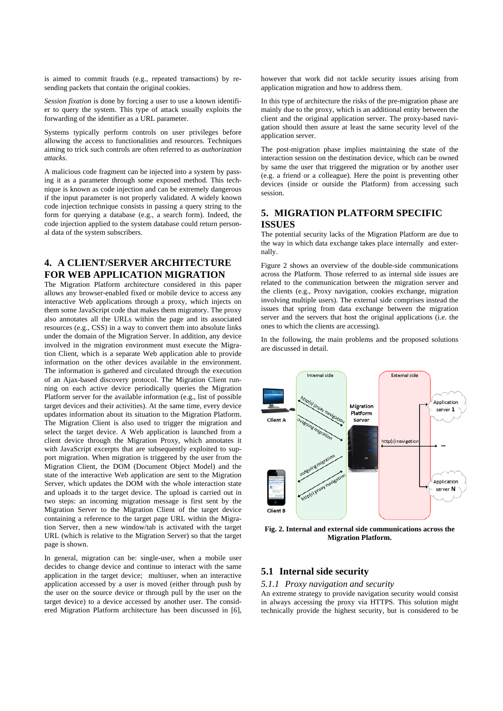is aimed to commit frauds (e.g., repeated transactions) by resending packets that contain the original cookies.

*Session fixation* is done by forcing a user to use a known identifier to query the system. This type of attack usually exploits the forwarding of the identifier as a URL parameter.

Systems typically perform controls on user privileges before allowing the access to functionalities and resources. Techniques aiming to trick such controls are often referred to as *authorization attacks*.

A malicious code fragment can be injected into a system by passing it as a parameter through some exposed method. This technique is known as code injection and can be extremely dangerous if the input parameter is not properly validated. A widely known code injection technique consists in passing a query string to the form for querying a database (e.g., a search form). Indeed, the code injection applied to the system database could return personal data of the system subscribers.

# **4. A CLIENT/SERVER ARCHITECTURE FOR WEB APPLICATION MIGRATION**

The Migration Platform architecture considered in this paper allows any browser-enabled fixed or mobile device to access any interactive Web applications through a proxy, which injects on them some JavaScript code that makes them migratory. The proxy also annotates all the URLs within the page and its associated resources (e.g., CSS) in a way to convert them into absolute links under the domain of the Migration Server. In addition, any device involved in the migration environment must execute the Migration Client, which is a separate Web application able to provide information on the other devices available in the environment. The information is gathered and circulated through the execution of an Ajax-based discovery protocol. The Migration Client running on each active device periodically queries the Migration Platform server for the available information (e.g., list of possible target devices and their activities). At the same time, every device updates information about its situation to the Migration Platform. The Migration Client is also used to trigger the migration and select the target device. A Web application is launched from a client device through the Migration Proxy, which annotates it with JavaScript excerpts that are subsequently exploited to support migration. When migration is triggered by the user from the Migration Client, the DOM (Document Object Model) and the state of the interactive Web application are sent to the Migration Server, which updates the DOM with the whole interaction state and uploads it to the target device. The upload is carried out in two steps: an incoming migration message is first sent by the Migration Server to the Migration Client of the target device containing a reference to the target page URL within the Migration Server, then a new window/tab is activated with the target URL (which is relative to the Migration Server) so that the target page is shown.

In general, migration can be: single-user, when a mobile user decides to change device and continue to interact with the same application in the target device; multiuser, when an interactive application accessed by a user is moved (either through push by the user on the source device or through pull by the user on the target device) to a device accessed by another user. The considered Migration Platform architecture has been discussed in [6], however that work did not tackle security issues arising from application migration and how to address them.

In this type of architecture the risks of the pre-migration phase are mainly due to the proxy, which is an additional entity between the client and the original application server. The proxy-based navigation should then assure at least the same security level of the application server.

The post-migration phase implies maintaining the state of the interaction session on the destination device, which can be owned by same the user that triggered the migration or by another user (e.g. a friend or a colleague). Here the point is preventing other devices (inside or outside the Platform) from accessing such session.

# **5. MIGRATION PLATFORM SPECIFIC ISSUES**

The potential security lacks of the Migration Platform are due to the way in which data exchange takes place internally and externally.

Figure 2 shows an overview of the double-side communications across the Platform. Those referred to as internal side issues are related to the communication between the migration server and the clients (e.g., Proxy navigation, cookies exchange, migration involving multiple users). The external side comprises instead the issues that spring from data exchange between the migration server and the servers that host the original applications (i.e. the ones to which the clients are accessing).

In the following, the main problems and the proposed solutions are discussed in detail.



**Fig. 2. Internal and external side communications across the Migration Platform.** 

# **5.1 Internal side security**

# *5.1.1 Proxy navigation and security*

An extreme strategy to provide navigation security would consist in always accessing the proxy via HTTPS. This solution might technically provide the highest security, but is considered to be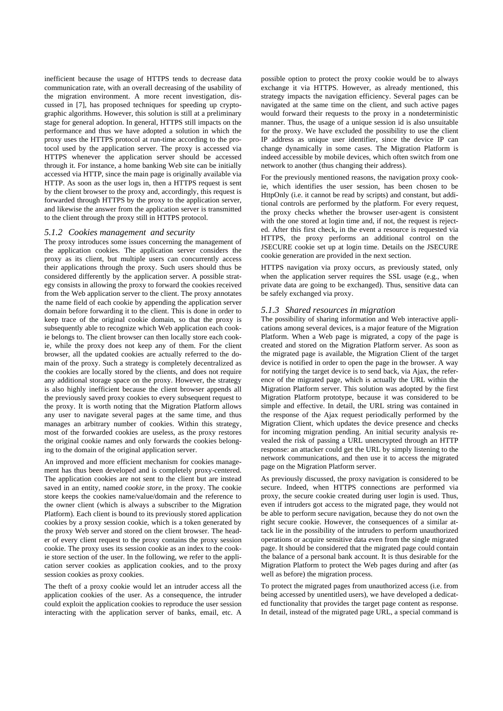inefficient because the usage of HTTPS tends to decrease data communication rate, with an overall decreasing of the usability of the migration environment. A more recent investigation, discussed in [7], has proposed techniques for speeding up cryptographic algorithms. However, this solution is still at a preliminary stage for general adoption. In general, HTTPS still impacts on the performance and thus we have adopted a solution in which the proxy uses the HTTPS protocol at run-time according to the protocol used by the application server. The proxy is accessed via HTTPS whenever the application server should be accessed through it. For instance, a home banking Web site can be initially accessed via HTTP, since the main page is originally available via HTTP. As soon as the user logs in, then a HTTPS request is sent by the client browser to the proxy and, accordingly, this request is forwarded through HTTPS by the proxy to the application server, and likewise the answer from the application server is transmitted to the client through the proxy still in HTTPS protocol.

#### *5.1.2 Cookies management and security*

The proxy introduces some issues concerning the management of the application cookies. The application server considers the proxy as its client, but multiple users can concurrently access their applications through the proxy. Such users should thus be considered differently by the application server. A possible strategy consists in allowing the proxy to forward the cookies received from the Web application server to the client. The proxy annotates the name field of each cookie by appending the application server domain before forwarding it to the client. This is done in order to keep trace of the original cookie domain, so that the proxy is subsequently able to recognize which Web application each cookie belongs to. The client browser can then locally store each cookie, while the proxy does not keep any of them. For the client browser, all the updated cookies are actually referred to the domain of the proxy. Such a strategy is completely decentralized as the cookies are locally stored by the clients, and does not require any additional storage space on the proxy. However, the strategy is also highly inefficient because the client browser appends all the previously saved proxy cookies to every subsequent request to the proxy. It is worth noting that the Migration Platform allows any user to navigate several pages at the same time, and thus manages an arbitrary number of cookies. Within this strategy, most of the forwarded cookies are useless, as the proxy restores the original cookie names and only forwards the cookies belonging to the domain of the original application server.

An improved and more efficient mechanism for cookies management has thus been developed and is completely proxy-centered. The application cookies are not sent to the client but are instead saved in an entity, named *cookie store*, in the proxy. The cookie store keeps the cookies name/value/domain and the reference to the owner client (which is always a subscriber to the Migration Platform). Each client is bound to its previously stored application cookies by a proxy session cookie, which is a token generated by the proxy Web server and stored on the client browser. The header of every client request to the proxy contains the proxy session cookie. The proxy uses its session cookie as an index to the cookie store section of the user. In the following, we refer to the application server cookies as application cookies, and to the proxy session cookies as proxy cookies.

The theft of a proxy cookie would let an intruder access all the application cookies of the user. As a consequence, the intruder could exploit the application cookies to reproduce the user session interacting with the application server of banks, email, etc. A

possible option to protect the proxy cookie would be to always exchange it via HTTPS. However, as already mentioned, this strategy impacts the navigation efficiency. Several pages can be navigated at the same time on the client, and such active pages would forward their requests to the proxy in a nondeterministic manner. Thus, the usage of a unique session id is also unsuitable for the proxy. We have excluded the possibility to use the client IP address as unique user identifier, since the device IP can change dynamically in some cases. The Migration Platform is indeed accessible by mobile devices, which often switch from one network to another (thus changing their address).

For the previously mentioned reasons, the navigation proxy cookie, which identifies the user session, has been chosen to be HttpOnly (i.e. it cannot be read by scripts) and constant, but additional controls are performed by the platform. For every request, the proxy checks whether the browser user-agent is consistent with the one stored at login time and, if not, the request is rejected. After this first check, in the event a resource is requested via HTTPS, the proxy performs an additional control on the JSECURE cookie set up at login time. Details on the JSECURE cookie generation are provided in the next section.

HTTPS navigation via proxy occurs, as previously stated, only when the application server requires the SSL usage (e.g., when private data are going to be exchanged). Thus, sensitive data can be safely exchanged via proxy.

#### *5.1.3 Shared resources in migration*

The possibility of sharing information and Web interactive applications among several devices, is a major feature of the Migration Platform. When a Web page is migrated, a copy of the page is created and stored on the Migration Platform server. As soon as the migrated page is available, the Migration Client of the target device is notified in order to open the page in the browser. A way for notifying the target device is to send back, via Ajax, the reference of the migrated page, which is actually the URL within the Migration Platform server. This solution was adopted by the first Migration Platform prototype, because it was considered to be simple and effective. In detail, the URL string was contained in the response of the Ajax request periodically performed by the Migration Client, which updates the device presence and checks for incoming migration pending. An initial security analysis revealed the risk of passing a URL unencrypted through an HTTP response: an attacker could get the URL by simply listening to the network communications, and then use it to access the migrated page on the Migration Platform server.

As previously discussed, the proxy navigation is considered to be secure. Indeed, when HTTPS connections are performed via proxy, the secure cookie created during user login is used. Thus, even if intruders got access to the migrated page, they would not be able to perform secure navigation, because they do not own the right secure cookie. However, the consequences of a similar attack lie in the possibility of the intruders to perform unauthorized operations or acquire sensitive data even from the single migrated page. It should be considered that the migrated page could contain the balance of a personal bank account. It is thus desirable for the Migration Platform to protect the Web pages during and after (as well as before) the migration process.

To protect the migrated pages from unauthorized access (i.e. from being accessed by unentitled users), we have developed a dedicated functionality that provides the target page content as response. In detail, instead of the migrated page URL, a special command is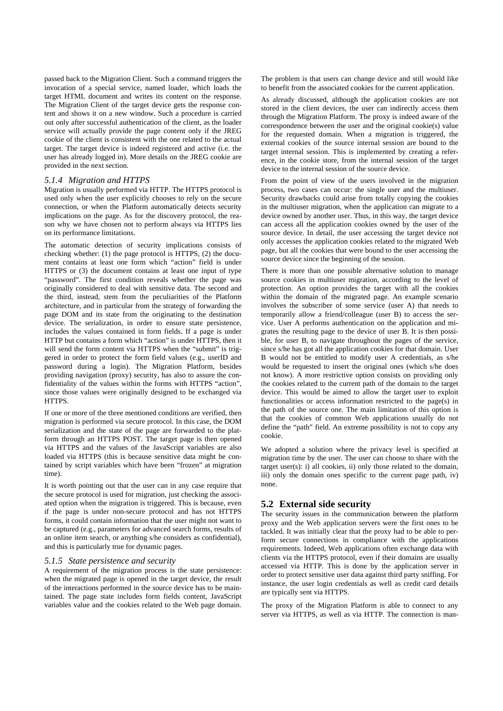passed back to the Migration Client. Such a command triggers the invocation of a special service, named loader, which loads the target HTML document and writes its content on the response. The Migration Client of the target device gets the response content and shows it on a new window. Such a procedure is carried out only after successful authentication of the client, as the loader service will actually provide the page content only if the JREG cookie of the client is consistent with the one related to the actual target. The target device is indeed registered and active (i.e. the user has already logged in). More details on the JREG cookie are provided in the next section.

#### *5.1.4 Migration and HTTPS*

Migration is usually performed via HTTP. The HTTPS protocol is used only when the user explicitly chooses to rely on the secure connection, or when the Platform automatically detects security implications on the page. As for the discovery protocol, the reason why we have chosen not to perform always via HTTPS lies on its performance limitations.

The automatic detection of security implications consists of checking whether: (1) the page protocol is HTTPS, (2) the document contains at least one form which "action" field is under HTTPS or (3) the document contains at least one input of type "password". The first condition reveals whether the page was originally considered to deal with sensitive data. The second and the third, instead, stem from the peculiarities of the Platform architecture, and in particular from the strategy of forwarding the page DOM and its state from the originating to the destination device. The serialization, in order to ensure state persistence, includes the values contained in form fields. If a page is under HTTP but contains a form which "action" is under HTTPS, then it will send the form content via HTTPS when the "submit" is triggered in order to protect the form field values (e.g., userID and password during a login). The Migration Platform, besides providing navigation (proxy) security, has also to assure the confidentiality of the values within the forms with HTTPS "action", since those values were originally designed to be exchanged via HTTPS.

If one or more of the three mentioned conditions are verified, then migration is performed via secure protocol. In this case, the DOM serialization and the state of the page are forwarded to the platform through an HTTPS POST. The target page is then opened via HTTPS and the values of the JavaScript variables are also loaded via HTTPS (this is because sensitive data might be contained by script variables which have been "frozen" at migration time).

It is worth pointing out that the user can in any case require that the secure protocol is used for migration, just checking the associated option when the migration is triggered. This is because, even if the page is under non-secure protocol and has not HTTPS forms, it could contain information that the user might not want to be captured (e.g., parameters for advanced search forms, results of an online item search, or anything s/he considers as confidential), and this is particularly true for dynamic pages.

#### *5.1.5 State persistence and security*

A requirement of the migration process is the state persistence: when the migrated page is opened in the target device, the result of the interactions performed in the source device has to be maintained. The page state includes form fields content, JavaScript variables value and the cookies related to the Web page domain.

The problem is that users can change device and still would like to benefit from the associated cookies for the current application.

As already discussed, although the application cookies are not stored in the client devices, the user can indirectly access them through the Migration Platform. The proxy is indeed aware of the correspondence between the user and the original cookie(s) value for the requested domain. When a migration is triggered, the external cookies of the source internal session are bound to the target internal session. This is implemented by creating a reference, in the cookie store, from the internal session of the target device to the internal session of the source device.

From the point of view of the users involved in the migration process, two cases can occur: the single user and the multiuser. Security drawbacks could arise from totally copying the cookies in the multiuser migration, when the application can migrate to a device owned by another user. Thus, in this way, the target device can access all the application cookies owned by the user of the source device. In detail, the user accessing the target device not only accesses the application cookies related to the migrated Web page, but all the cookies that were bound to the user accessing the source device since the beginning of the session.

There is more than one possible alternative solution to manage source cookies in multiuser migration, according to the level of protection. An option provides the target with all the cookies within the domain of the migrated page. An example scenario involves the subscriber of some service (user A) that needs to temporarily allow a friend/colleague (user B) to access the service. User A performs authentication on the application and migrates the resulting page to the device of user B. It is then possible, for user B, to navigate throughout the pages of the service, since s/he has got all the application cookies for that domain. User B would not be entitled to modify user A credentials, as s/he would be requested to insert the original ones (which s/he does not know). A more restrictive option consists on providing only the cookies related to the current path of the domain to the target device. This would be aimed to allow the target user to exploit functionalities or access information restricted to the page(s) in the path of the source one. The main limitation of this option is that the cookies of common Web applications usually do not define the "path" field. An extreme possibility is not to copy any cookie.

We adopted a solution where the privacy level is specified at migration time by the user. The user can choose to share with the target user(s): i) all cookies, ii) only those related to the domain, iii) only the domain ones specific to the current page path, iv) none.

# **5.2 External side security**

The security issues in the communication between the platform proxy and the Web application servers were the first ones to be tackled. It was initially clear that the proxy had to be able to perform secure connections in compliance with the applications requirements. Indeed, Web applications often exchange data with clients via the HTTPS protocol, even if their domains are usually accessed via HTTP. This is done by the application server in order to protect sensitive user data against third party sniffing. For instance, the user login credentials as well as credit card details are typically sent via HTTPS.

The proxy of the Migration Platform is able to connect to any server via HTTPS, as well as via HTTP. The connection is man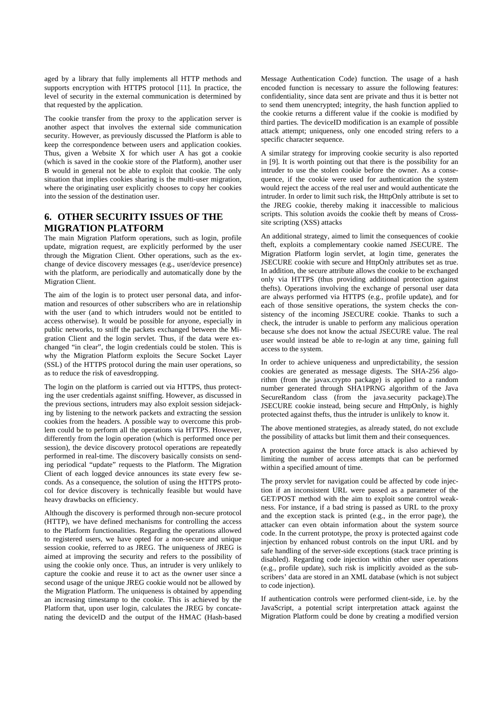aged by a library that fully implements all HTTP methods and supports encryption with HTTPS protocol [11]. In practice, the level of security in the external communication is determined by that requested by the application.

The cookie transfer from the proxy to the application server is another aspect that involves the external side communication security. However, as previously discussed the Platform is able to keep the correspondence between users and application cookies. Thus, given a Website X for which user A has got a cookie (which is saved in the cookie store of the Platform), another user B would in general not be able to exploit that cookie. The only situation that implies cookies sharing is the multi-user migration, where the originating user explicitly chooses to copy her cookies into the session of the destination user.

# **6. OTHER SECURITY ISSUES OF THE MIGRATION PLATFORM**

The main Migration Platform operations, such as login, profile update, migration request, are explicitly performed by the user through the Migration Client. Other operations, such as the exchange of device discovery messages (e.g., user/device presence) with the platform, are periodically and automatically done by the Migration Client.

The aim of the login is to protect user personal data, and information and resources of other subscribers who are in relationship with the user (and to which intruders would not be entitled to access otherwise). It would be possible for anyone, especially in public networks, to sniff the packets exchanged between the Migration Client and the login servlet. Thus, if the data were exchanged "in clear", the login credentials could be stolen. This is why the Migration Platform exploits the Secure Socket Layer (SSL) of the HTTPS protocol during the main user operations, so as to reduce the risk of eavesdropping.

The login on the platform is carried out via HTTPS, thus protecting the user credentials against sniffing. However, as discussed in the previous sections, intruders may also exploit session sidejacking by listening to the network packets and extracting the session cookies from the headers. A possible way to overcome this problem could be to perform all the operations via HTTPS. However, differently from the login operation (which is performed once per session), the device discovery protocol operations are repeatedly performed in real-time. The discovery basically consists on sending periodical "update" requests to the Platform. The Migration Client of each logged device announces its state every few seconds. As a consequence, the solution of using the HTTPS protocol for device discovery is technically feasible but would have heavy drawbacks on efficiency.

Although the discovery is performed through non-secure protocol (HTTP), we have defined mechanisms for controlling the access to the Platform functionalities. Regarding the operations allowed to registered users, we have opted for a non-secure and unique session cookie, referred to as JREG. The uniqueness of JREG is aimed at improving the security and refers to the possibility of using the cookie only once. Thus, an intruder is very unlikely to capture the cookie and reuse it to act as the owner user since a second usage of the unique JREG cookie would not be allowed by the Migration Platform. The uniqueness is obtained by appending an increasing timestamp to the cookie. This is achieved by the Platform that, upon user login, calculates the JREG by concatenating the deviceID and the output of the HMAC (Hash-based

Message Authentication Code) function. The usage of a hash encoded function is necessary to assure the following features: confidentiality, since data sent are private and thus it is better not to send them unencrypted; integrity, the hash function applied to the cookie returns a different value if the cookie is modified by third parties. The deviceID modification is an example of possible attack attempt; uniqueness, only one encoded string refers to a specific character sequence.

A similar strategy for improving cookie security is also reported in [9]. It is worth pointing out that there is the possibility for an intruder to use the stolen cookie before the owner. As a consequence, if the cookie were used for authentication the system would reject the access of the real user and would authenticate the intruder. In order to limit such risk, the HttpOnly attribute is set to the JREG cookie, thereby making it inaccessible to malicious scripts. This solution avoids the cookie theft by means of Crosssite scripting (XSS) attacks

An additional strategy, aimed to limit the consequences of cookie theft, exploits a complementary cookie named JSECURE. The Migration Platform login servlet, at login time, generates the JSECURE cookie with secure and HttpOnly attributes set as true. In addition, the secure attribute allows the cookie to be exchanged only via HTTPS (thus providing additional protection against thefts). Operations involving the exchange of personal user data are always performed via HTTPS (e.g., profile update), and for each of those sensitive operations, the system checks the consistency of the incoming JSECURE cookie. Thanks to such a check, the intruder is unable to perform any malicious operation because s/he does not know the actual JSECURE value. The real user would instead be able to re-login at any time, gaining full access to the system.

In order to achieve uniqueness and unpredictability, the session cookies are generated as message digests. The SHA-256 algorithm (from the javax.crypto package) is applied to a random number generated through SHA1PRNG algorithm of the Java SecureRandom class (from the java.security package).The JSECURE cookie instead, being secure and HttpOnly, is highly protected against thefts, thus the intruder is unlikely to know it.

The above mentioned strategies, as already stated, do not exclude the possibility of attacks but limit them and their consequences.

A protection against the brute force attack is also achieved by limiting the number of access attempts that can be performed within a specified amount of time.

The proxy servlet for navigation could be affected by code injection if an inconsistent URL were passed as a parameter of the GET/POST method with the aim to exploit some control weakness. For instance, if a bad string is passed as URL to the proxy and the exception stack is printed (e.g., in the error page), the attacker can even obtain information about the system source code. In the current prototype, the proxy is protected against code injection by enhanced robust controls on the input URL and by safe handling of the server-side exceptions (stack trace printing is disabled). Regarding code injection within other user operations (e.g., profile update), such risk is implicitly avoided as the subscribers' data are stored in an XML database (which is not subject to code injection).

If authentication controls were performed client-side, i.e. by the JavaScript, a potential script interpretation attack against the Migration Platform could be done by creating a modified version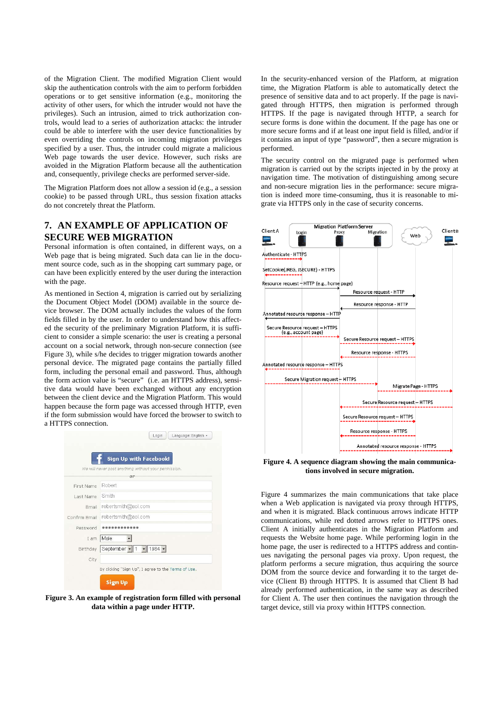of the Migration Client. The modified Migration Client would skip the authentication controls with the aim to perform forbidden operations or to get sensitive information (e.g., monitoring the activity of other users, for which the intruder would not have the privileges). Such an intrusion, aimed to trick authorization controls, would lead to a series of authorization attacks: the intruder could be able to interfere with the user device functionalities by even overriding the controls on incoming migration privileges specified by a user. Thus, the intruder could migrate a malicious Web page towards the user device. However, such risks are avoided in the Migration Platform because all the authentication and, consequently, privilege checks are performed server-side.

The Migration Platform does not allow a session id (e.g., a session cookie) to be passed through URL, thus session fixation attacks do not concretely threat the Platform.

# **7. AN EXAMPLE OF APPLICATION OF SECURE WEB MIGRATION**

Personal information is often contained, in different ways, on a Web page that is being migrated. Such data can lie in the document source code, such as in the shopping cart summary page, or can have been explicitly entered by the user during the interaction with the page.

As mentioned in Section 4, migration is carried out by serializing the Document Object Model (DOM) available in the source device browser. The DOM actually includes the values of the form fields filled in by the user. In order to understand how this affected the security of the preliminary Migration Platform, it is sufficient to consider a simple scenario: the user is creating a personal account on a social network, through non-secure connection (see Figure 3), while s/he decides to trigger migration towards another personal device. The migrated page contains the partially filled form, including the personal email and password. Thus, although the form action value is "secure" (i.e. an HTTPS address), sensitive data would have been exchanged without any encryption between the client device and the Migration Platform. This would happen because the form page was accessed through HTTP, even if the form submission would have forced the browser to switch to a HTTPS connection.



**Figure 3. An example of registration form filled with personal data within a page under HTTP.** 

In the security-enhanced version of the Platform, at migration time, the Migration Platform is able to automatically detect the presence of sensitive data and to act properly. If the page is navigated through HTTPS, then migration is performed through HTTPS. If the page is navigated through HTTP, a search for secure forms is done within the document. If the page has one or more secure forms and if at least one input field is filled, and/or if it contains an input of type "password", then a secure migration is performed.

The security control on the migrated page is performed when migration is carried out by the scripts injected in by the proxy at navigation time. The motivation of distinguishing among secure and non-secure migration lies in the performance: secure migration is indeed more time-consuming, thus it is reasonable to migrate via HTTPS only in the case of security concerns.



**Figure 4. A sequence diagram showing the main communications involved in secure migration.** 

Figure 4 summarizes the main communications that take place when a Web application is navigated via proxy through HTTPS, and when it is migrated. Black continuous arrows indicate HTTP communications, while red dotted arrows refer to HTTPS ones. Client A initially authenticates in the Migration Platform and requests the Website home page. While performing login in the home page, the user is redirected to a HTTPS address and continues navigating the personal pages via proxy. Upon request, the platform performs a secure migration, thus acquiring the source DOM from the source device and forwarding it to the target device (Client B) through HTTPS. It is assumed that Client B had already performed authentication, in the same way as described for Client A. The user then continues the navigation through the target device, still via proxy within HTTPS connection.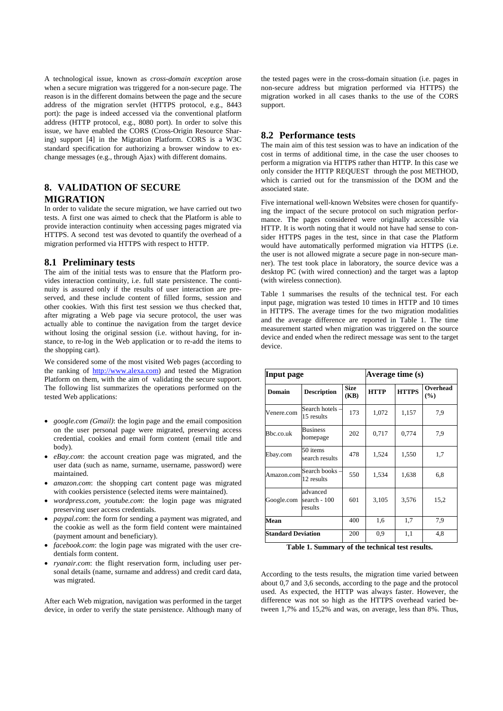A technological issue, known as *cross-domain exception* arose when a secure migration was triggered for a non-secure page. The reason is in the different domains between the page and the secure address of the migration servlet (HTTPS protocol, e.g., 8443 port): the page is indeed accessed via the conventional platform address (HTTP protocol, e.g., 8080 port). In order to solve this issue, we have enabled the CORS (Cross-Origin Resource Sharing) support [4] in the Migration Platform. CORS is a W3C standard specification for authorizing a browser window to exchange messages (e.g., through Ajax) with different domains.

# **8. VALIDATION OF SECURE MIGRATION**

In order to validate the secure migration, we have carried out two tests. A first one was aimed to check that the Platform is able to provide interaction continuity when accessing pages migrated via HTTPS. A second test was devoted to quantify the overhead of a migration performed via HTTPS with respect to HTTP.

### **8.1 Preliminary tests**

The aim of the initial tests was to ensure that the Platform provides interaction continuity, i.e. full state persistence. The continuity is assured only if the results of user interaction are preserved, and these include content of filled forms, session and other cookies. With this first test session we thus checked that, after migrating a Web page via secure protocol, the user was actually able to continue the navigation from the target device without losing the original session (i.e. without having, for instance, to re-log in the Web application or to re-add the items to the shopping cart).

We considered some of the most visited Web pages (according to the ranking of http://www.alexa.com) and tested the Migration Platform on them, with the aim of validating the secure support. The following list summarizes the operations performed on the tested Web applications:

- *google.com (Gmail)*: the login page and the email composition on the user personal page were migrated, preserving access credential, cookies and email form content (email title and body).
- *eBay.com*: the account creation page was migrated, and the user data (such as name, surname, username, password) were maintained.
- *amazon.com*: the shopping cart content page was migrated with cookies persistence (selected items were maintained).
- *wordpress.com, youtube.com*: the login page was migrated preserving user access credentials.
- *paypal.com*: the form for sending a payment was migrated, and the cookie as well as the form field content were maintained (payment amount and beneficiary).
- *facebook.com*: the login page was migrated with the user credentials form content.
- *ryanair.com*: the flight reservation form, including user personal details (name, surname and address) and credit card data, was migrated.

After each Web migration, navigation was performed in the target device, in order to verify the state persistence. Although many of the tested pages were in the cross-domain situation (i.e. pages in non-secure address but migration performed via HTTPS) the migration worked in all cases thanks to the use of the CORS support.

# **8.2 Performance tests**

The main aim of this test session was to have an indication of the cost in terms of additional time, in the case the user chooses to perform a migration via HTTPS rather than HTTP. In this case we only consider the HTTP REQUEST through the post METHOD, which is carried out for the transmission of the DOM and the associated state.

Five international well-known Websites were chosen for quantifying the impact of the secure protocol on such migration performance. The pages considered were originally accessible via HTTP. It is worth noting that it would not have had sense to consider HTTPS pages in the test, since in that case the Platform would have automatically performed migration via HTTPS (i.e. the user is not allowed migrate a secure page in non-secure manner). The test took place in laboratory, the source device was a desktop PC (with wired connection) and the target was a laptop (with wireless connection).

Table 1 summarises the results of the technical test. For each input page, migration was tested 10 times in HTTP and 10 times in HTTPS. The average times for the two migration modalities and the average difference are reported in Table 1. The time measurement started when migration was triggered on the source device and ended when the redirect message was sent to the target device.

| Input page                |                                     |                     | Average time (s) |              |                 |
|---------------------------|-------------------------------------|---------------------|------------------|--------------|-----------------|
| <b>Domain</b>             | <b>Description</b>                  | <b>Size</b><br>(KB) | <b>HTTP</b>      | <b>HTTPS</b> | Overhead<br>(%) |
| Venere.com                | Search hotels -<br>15 results       | 173                 | 1,072            | 1,157        | 7,9             |
| Bbc.co.uk                 | <b>Business</b><br>homepage         | 202                 | 0,717            | 0,774        | 7,9             |
| Ebay.com                  | 50 items<br>search results          | 478                 | 1,524            | 1,550        | 1,7             |
| Amazon.com                | Search books -<br>12 results        | 550                 | 1,534            | 1,638        | 6,8             |
| Google.com                | advanced<br>search - 100<br>results | 601                 | 3,105            | 3,576        | 15,2            |
| Mean                      |                                     | 400                 | 1,6              | 1,7          | 7,9             |
| <b>Standard Deviation</b> |                                     | 200                 | 0,9              | 1,1          | 4,8             |

**Table 1. Summary of the technical test results.**

According to the tests results, the migration time varied between about 0,7 and 3,6 seconds, according to the page and the protocol used. As expected, the HTTP was always faster. However, the difference was not so high as the HTTPS overhead varied between 1,7% and 15,2% and was, on average, less than 8%. Thus,